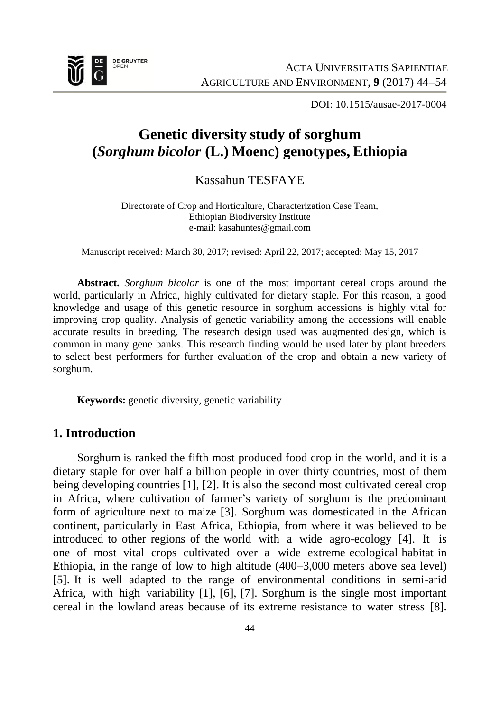

DOI: 10.1515/ausae-2017-0004

# **Genetic diversity study of sorghum (***Sorghum bicolor* **(L.) Moenc) genotypes, Ethiopia**

Kassahun TESFAYE

Directorate of Crop and Horticulture, Characterization Case Team, Ethiopian Biodiversity Institute e-ma[il: kasahuntes@gmail.com](mailto:kasahuntes@gmail.com)

Manuscript received: March 30, 2017; revised: April 22, 2017; accepted: May 15, 2017

**Abstract.** *Sorghum bicolor* is one of the most important cereal crops around the world, particularly in Africa, highly cultivated for dietary staple. For this reason, a good knowledge and usage of this genetic resource in sorghum accessions is highly vital for improving crop quality. Analysis of genetic variability among the accessions will enable accurate results in breeding. The research design used was augmented design, which is common in many gene banks. This research finding would be used later by plant breeders to select best performers for further evaluation of the crop and obtain a new variety of sorghum.

**Keywords:** genetic diversity, genetic variability

## **1. Introduction**

Sorghum is ranked the fifth most produced food crop in the world, and it is a dietary staple for over half a billion people in over thirty countries, most of them being developing countries [1], [2]. It is also the second most cultivated cereal crop in Africa, where cultivation of farmer's variety of sorghum is the predominant form of agriculture next to maize [3]. Sorghum was domesticated in the African continent, particularly in East Africa, Ethiopia, from where it was believed to be introduced to other regions of the world with a wide agro-ecology [4]. It is one of most vital crops cultivated over a wide extreme ecological habitat in Ethiopia, in the range of low to high altitude (400–3,000 meters above sea level) [5]. It is well adapted to the range of environmental conditions in semi-arid Africa, with high variability [1], [6], [7]. Sorghum is the single most important cereal in the lowland areas because of its extreme resistance to water stress [8].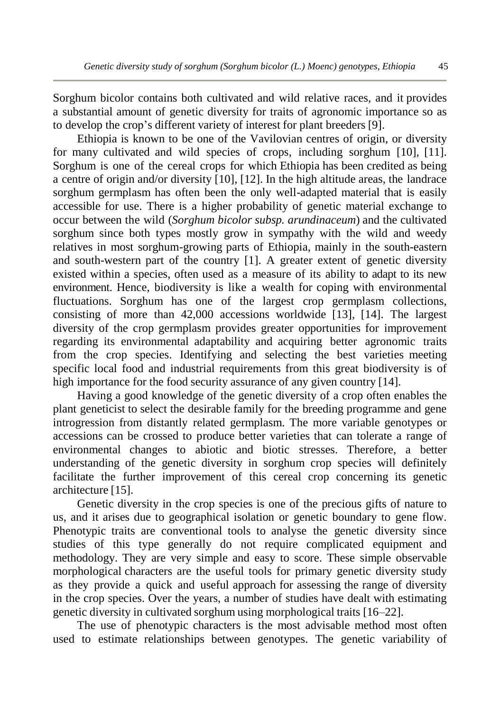Sorghum bicolor contains both cultivated and wild relative races, and it provides a substantial amount of genetic diversity for traits of agronomic importance so as to develop the crop's different variety of interest for plant breeders [9].

Ethiopia is known to be one of the Vavilovian centres of origin, or diversity for many cultivated and wild species of crops, including sorghum [10], [11]. Sorghum is one of the cereal crops for which Ethiopia has been credited as being a centre of origin and/or diversity [10], [12]. In the high altitude areas, the landrace sorghum germplasm has often been the only well-adapted material that is easily accessible for use. There is a higher probability of genetic material exchange to occur between the wild (*Sorghum bicolor subsp. arundinaceum*) and the cultivated sorghum since both types mostly grow in sympathy with the wild and weedy relatives in most sorghum-growing parts of Ethiopia, mainly in the south-eastern and south-western part of the country [1]. A greater extent of genetic diversity existed within a species, often used as a measure of its ability to adapt to its new environment. Hence, biodiversity is like a wealth for coping with environmental fluctuations. Sorghum has one of the largest crop germplasm collections, consisting of more than  $42,000$  accessions worldwide [13], [14]. The largest diversity of the crop germplasm provides greater opportunities for improvement regarding its environmental adaptability and acquiring better agronomic traits from the crop species. Identifying and selecting the best varieties meeting specific local food and industrial requirements from this great biodiversity is of high importance for the food security assurance of any given country [14].

Having a good knowledge of the genetic diversity of a crop often enables the plant geneticist to select the desirable family for the breeding programme and gene introgression from distantly related germplasm. The more variable genotypes or accessions can be crossed to produce better varieties that can tolerate a range of environmental changes to abiotic and biotic stresses. Therefore, a better understanding of the genetic diversity in sorghum crop species will definitely facilitate the further improvement of this cereal crop concerning its genetic architecture [15].

Genetic diversity in the crop species is one of the precious gifts of nature to us, and it arises due to geographical isolation or genetic boundary to gene flow. Phenotypic traits are conventional tools to analyse the genetic diversity since studies of this type generally do not require complicated equipment and methodology. They are very simple and easy to score. These simple observable morphological characters are the useful tools for primary genetic diversity study as they provide a quick and useful approach for assessing the range of diversity in the crop species. Over the years, a number of studies have dealt with estimating genetic diversity in cultivated sorghum using morphological traits [16–22].

The use of phenotypic characters is the most advisable method most often used to estimate relationships between genotypes. The genetic variability of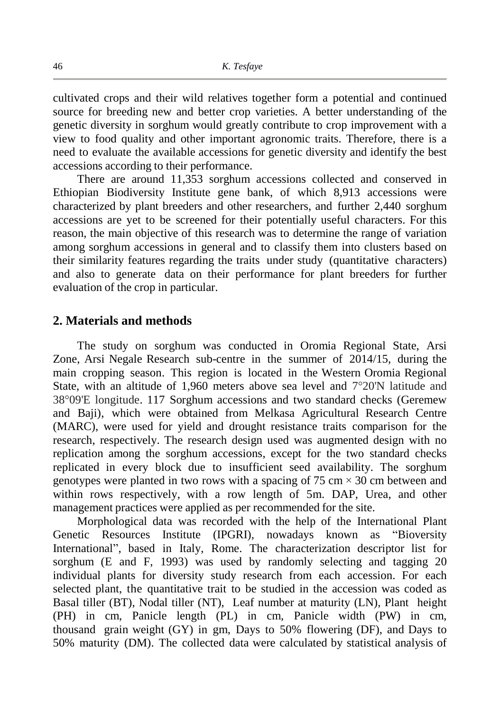cultivated crops and their wild relatives together form a potential and continued source for breeding new and better crop varieties. A better understanding of the genetic diversity in sorghum would greatly contribute to crop improvement with a view to food quality and other important agronomic traits. Therefore, there is a need to evaluate the available accessions for genetic diversity and identify the best accessions according to their performance.

There are around 11,353 sorghum accessions collected and conserved in Ethiopian Biodiversity Institute gene bank, of which 8,913 accessions were characterized by plant breeders and other researchers, and further 2,440 sorghum accessions are yet to be screened for their potentially useful characters. For this reason, the main objective of this research was to determine the range of variation among sorghum accessions in general and to classify them into clusters based on their similarity features regarding the traits under study (quantitative characters) and also to generate data on their performance for plant breeders for further evaluation of the crop in particular.

## **2. Materials and methods**

The study on sorghum was conducted in Oromia Regional State, Arsi Zone, Arsi Negale Research sub-centre in the summer of 2014/15, during the main cropping season. This region is located in the Western Oromia Regional State, with an altitude of 1,960 meters above sea level and 7°20'N latitude and 38°09'E longitude. 117 Sorghum accessions and two standard checks (Geremew and Baji), which were obtained from Melkasa Agricultural Research Centre (MARC), were used for yield and drought resistance traits comparison for the research, respectively. The research design used was augmented design with no replication among the sorghum accessions, except for the two standard checks replicated in every block due to insufficient seed availability. The sorghum genotypes were planted in two rows with a spacing of  $75 \text{ cm} \times 30 \text{ cm}$  between and within rows respectively, with a row length of 5m. DAP, Urea, and other management practices were applied as per recommended for the site.

Morphological data was recorded with the help of the International Plant Genetic Resources Institute (IPGRI), nowadays known as "Bioversity International", based in Italy, Rome. The characterization descriptor list for sorghum (E and F, 1993) was used by randomly selecting and tagging 20 individual plants for diversity study research from each accession. For each selected plant, the quantitative trait to be studied in the accession was coded as Basal tiller (BT), Nodal tiller (NT), Leaf number at maturity (LN), Plant height (PH) in cm, Panicle length (PL) in cm, Panicle width (PW) in cm, thousand grain weight (GY) in gm, Days to 50% flowering (DF), and Days to 50% maturity (DM). The collected data were calculated by statistical analysis of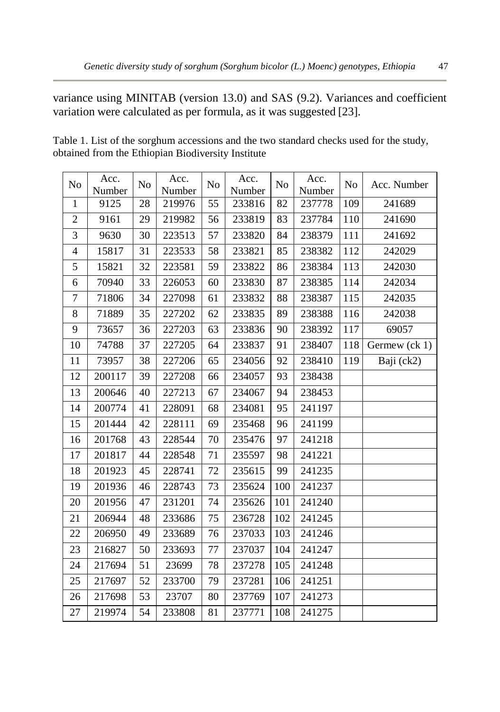variance using MINITAB (version 13.0) and SAS (9.2). Variances and coefficient variation were calculated as per formula, as it was suggested [23].

| No                       | Acc.<br>Number | No | Acc.<br>Number | No | Acc.<br>Number | N <sub>o</sub> | Acc.<br>Number | N <sub>o</sub> | Acc. Number   |
|--------------------------|----------------|----|----------------|----|----------------|----------------|----------------|----------------|---------------|
| 1                        | 9125           | 28 | 219976         | 55 | 233816         | 82             | 237778         | 109            | 241689        |
| $\overline{2}$           | 9161           | 29 | 219982         | 56 | 233819         | 83             | 237784         | 110            | 241690        |
| 3                        | 9630           | 30 | 223513         | 57 | 233820         | 84             | 238379         | 111            | 241692        |
| $\overline{\mathcal{L}}$ | 15817          | 31 | 223533         | 58 | 233821         | 85             | 238382         | 112            | 242029        |
| 5                        | 15821          | 32 | 223581         | 59 | 233822         | 86             | 238384         | 113            | 242030        |
| 6                        | 70940          | 33 | 226053         | 60 | 233830         | 87             | 238385         | 114            | 242034        |
| $\overline{7}$           | 71806          | 34 | 227098         | 61 | 233832         | 88             | 238387         | 115            | 242035        |
| 8                        | 71889          | 35 | 227202         | 62 | 233835         | 89             | 238388         | 116            | 242038        |
| 9                        | 73657          | 36 | 227203         | 63 | 233836         | 90             | 238392         | 117            | 69057         |
| 10                       | 74788          | 37 | 227205         | 64 | 233837         | 91             | 238407         | 118            | Germew (ck 1) |
| 11                       | 73957          | 38 | 227206         | 65 | 234056         | 92             | 238410         | 119            | Baji (ck2)    |
| 12                       | 200117         | 39 | 227208         | 66 | 234057         | 93             | 238438         |                |               |
| 13                       | 200646         | 40 | 227213         | 67 | 234067         | 94             | 238453         |                |               |
| 14                       | 200774         | 41 | 228091         | 68 | 234081         | 95             | 241197         |                |               |
| 15                       | 201444         | 42 | 228111         | 69 | 235468         | 96             | 241199         |                |               |
| 16                       | 201768         | 43 | 228544         | 70 | 235476         | 97             | 241218         |                |               |
| 17                       | 201817         | 44 | 228548         | 71 | 235597         | 98             | 241221         |                |               |
| 18                       | 201923         | 45 | 228741         | 72 | 235615         | 99             | 241235         |                |               |
| 19                       | 201936         | 46 | 228743         | 73 | 235624         | 100            | 241237         |                |               |
| 20                       | 201956         | 47 | 231201         | 74 | 235626         | 101            | 241240         |                |               |
| 21                       | 206944         | 48 | 233686         | 75 | 236728         | 102            | 241245         |                |               |
| 22                       | 206950         | 49 | 233689         | 76 | 237033         | 103            | 241246         |                |               |
| 23                       | 216827         | 50 | 233693         | 77 | 237037         | 104            | 241247         |                |               |
| 24                       | 217694         | 51 | 23699          | 78 | 237278         | 105            | 241248         |                |               |
| 25                       | 217697         | 52 | 233700         | 79 | 237281         | 106            | 241251         |                |               |
| 26                       | 217698         | 53 | 23707          | 80 | 237769         | 107            | 241273         |                |               |
| 27                       | 219974         | 54 | 233808         | 81 | 237771         | 108            | 241275         |                |               |

Table 1. List of the sorghum accessions and the two standard checks used for the study, obtained from the Ethiopian Biodiversity Institute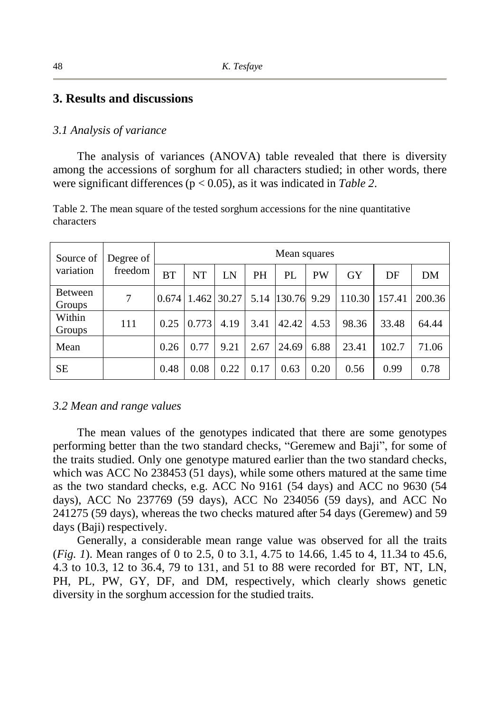## **3. Results and discussions**

#### *3.1 Analysis of variance*

The analysis of variances (ANOVA) table revealed that there is diversity among the accessions of sorghum for all characters studied; in other words, there were significant differences (p < 0.05), as it was indicated in *Table 2*.

| Twore my the means separate of the restricts solghight avevelocity for the mine epochtically |  |  |
|----------------------------------------------------------------------------------------------|--|--|
| characters                                                                                   |  |  |
|                                                                                              |  |  |
|                                                                                              |  |  |

Table 2. The mean square of the tested sorghum accessions for the nine quantitative

| Source of         | Degree of<br>freedom | Mean squares |       |             |           |             |           |           |        |        |
|-------------------|----------------------|--------------|-------|-------------|-----------|-------------|-----------|-----------|--------|--------|
| variation         |                      | <b>BT</b>    | NT    | LN          | <b>PH</b> | PL          | <b>PW</b> | <b>GY</b> | DF     | DM     |
| Between<br>Groups | 7                    | 0.674        |       | 1.462 30.27 |           | 5.14 130.76 | 9.29      | 110.30    | 157.41 | 200.36 |
| Within<br>Groups  | 111                  | 0.25         | 0.773 | 4.19        | 3.41      | 42.42       | 4.53      | 98.36     | 33.48  | 64.44  |
| Mean              |                      | 0.26         | 0.77  | 9.21        | 2.67      | 24.69       | 6.88      | 23.41     | 102.7  | 71.06  |
| <b>SE</b>         |                      | 0.48         | 0.08  | 0.22        | 0.17      | 0.63        | 0.20      | 0.56      | 0.99   | 0.78   |

#### *3.2 Mean and range values*

The mean values of the genotypes indicated that there are some genotypes performing better than the two standard checks, "Geremew and Baji", for some of the traits studied. Only one genotype matured earlier than the two standard checks, which was ACC No 238453 (51 days), while some others matured at the same time as the two standard checks, e.g. ACC No 9161 (54 days) and ACC no 9630 (54 days), ACC No 237769 (59 days), ACC No 234056 (59 days), and ACC No 241275 (59 days), whereas the two checks matured after 54 days (Geremew) and 59 days (Baji) respectively.

Generally, a considerable mean range value was observed for all the traits (*Fig. 1*). Mean ranges of 0 to 2.5, 0 to 3.1, 4.75 to 14.66, 1.45 to 4, 11.34 to 45.6, 4.3 to 10.3, 12 to 36.4, 79 to 131, and 51 to 88 were recorded for BT, NT, LN, PH, PL, PW, GY, DF, and DM, respectively, which clearly shows genetic diversity in the sorghum accession for the studied traits.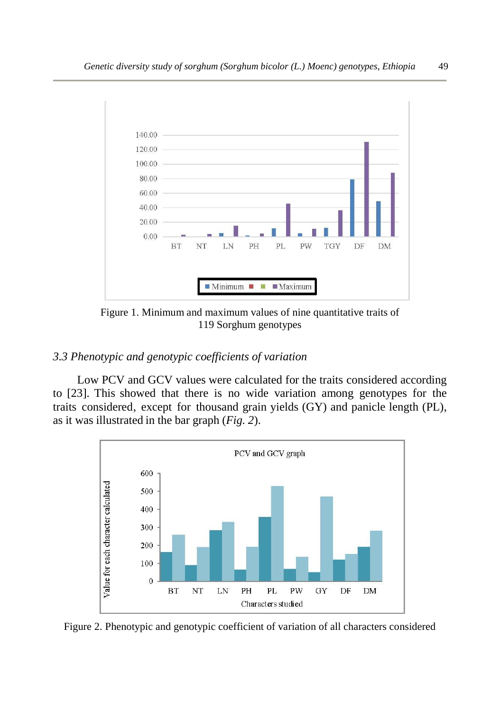

Figure 1. Minimum and maximum values of nine quantitative traits of 119 Sorghum genotypes

# *3.3 Phenotypic and genotypic coefficients of variation*

Low PCV and GCV values were calculated for the traits considered according to [23]. This showed that there is no wide variation among genotypes for the traits considered, except for thousand grain yields (GY) and panicle length (PL), as it was illustrated in the bar graph (*Fig. 2*).



Figure 2. Phenotypic and genotypic coefficient of variation of all characters considered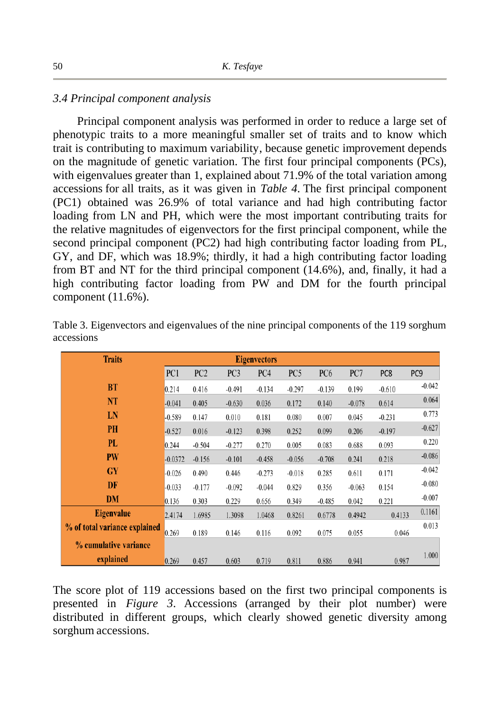#### *3.4 Principal component analysis*

Principal component analysis was performed in order to reduce a large set of phenotypic traits to a more meaningful smaller set of traits and to know which trait is contributing to maximum variability, because genetic improvement depends on the magnitude of genetic variation. The first four principal components (PCs), with eigenvalues greater than 1, explained about 71.9% of the total variation among accessions for all traits, as it was given in *Table 4*. The first principal component (PC1) obtained was 26.9% of total variance and had high contributing factor loading from LN and PH, which were the most important contributing traits for the relative magnitudes of eigenvectors for the first principal component, while the second principal component (PC2) had high contributing factor loading from PL, GY, and DF, which was 18.9%; thirdly, it had a high contributing factor loading from BT and NT for the third principal component (14.6%), and, finally, it had a high contributing factor loading from PW and DM for the fourth principal component (11.6%).

| <b>Traits</b>                 | <b>Eigenvectors</b> |                 |                 |          |                 |                 |          |          |                 |
|-------------------------------|---------------------|-----------------|-----------------|----------|-----------------|-----------------|----------|----------|-----------------|
|                               | PC1                 | PC <sub>2</sub> | PC <sub>3</sub> | PC4      | PC <sub>5</sub> | PC <sub>6</sub> | PC7      | PC8      | PC <sub>9</sub> |
| <b>BT</b>                     | 0.214               | 0.416           | $-0.491$        | $-0.134$ | $-0.297$        | $-0.139$        | 0.199    | $-0.610$ | $-0.042$        |
| NT                            | $-0.041$            | 0.405           | $-0.630$        | 0.036    | 0.172           | 0.140           | $-0.078$ | 0.614    | 0.064           |
| LN                            | $-0.589$            | 0.147           | 0.010           | 0.181    | 0.080           | 0.007           | 0.045    | $-0.231$ | 0.773           |
| <b>PH</b>                     | $-0.527$            | 0.016           | $-0.123$        | 0.398    | 0.252           | 0.099           | 0.206    | $-0.197$ | $-0.627$        |
| PL                            | 0.244               | $-0.504$        | $-0.277$        | 0.270    | 0.005           | 0.083           | 0.688    | 0.093    | 0.220           |
| <b>PW</b>                     | $-0.0372$           | $-0.156$        | $-0.101$        | $-0.458$ | $-0.056$        | $-0.708$        | 0.241    | 0.218    | $-0.086$        |
| <b>GY</b>                     | $-0.026$            | 0.490           | 0.446           | $-0.273$ | $-0.018$        | 0.285           | 0.611    | 0.171    | $-0.042$        |
| DF                            | $-0.033$            | $-0.177$        | $-0.092$        | $-0.044$ | 0.829           | 0.356           | $-0.063$ | 0.154    | $-0.080$        |
| <b>DM</b>                     | 0.136               | 0.303           | 0.229           | 0.656    | 0.349           | $-0.485$        | 0.042    | 0.221    | $-0.007$        |
| <b>Eigenvalue</b>             | 2.4174              | 1.6985          | 1.3098          | 1.0468   | 0.8261          | 0.6778          | 0.4942   | 0.4133   | 0.1161          |
| % of total variance explained | 0.269               | 0.189           | 0.146           | 0.116    | 0.092           | 0.075           | 0.055    | 0.046    | 0.013           |
| % cumulative variance         |                     |                 |                 |          |                 |                 |          |          |                 |
| explained                     | 0.269               | 0.457           | 0.603           | 0.719    | 0.811           | 0.886           | 0.941    | 0.987    | 1.000           |

Table 3. Eigenvectors and eigenvalues of the nine principal components of the 119 sorghum accessions

The score plot of 119 accessions based on the first two principal components is presented in *Figure 3*. Accessions (arranged by their plot number) were distributed in different groups, which clearly showed genetic diversity among sorghum accessions.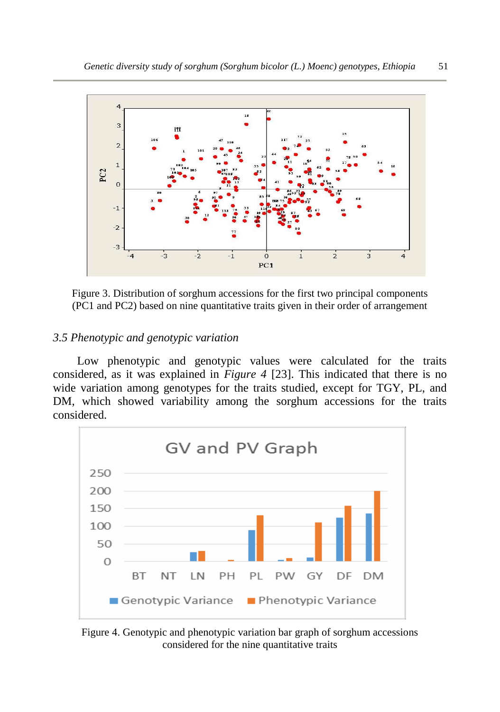

Figure 3. Distribution of sorghum accessions for the first two principal components (PC1 and PC2) based on nine quantitative traits given in their order of arrangement

## *3.5 Phenotypic and genotypic variation*

Low phenotypic and genotypic values were calculated for the traits considered, as it was explained in *Figure 4* [23]. This indicated that there is no wide variation among genotypes for the traits studied, except for TGY, PL, and DM, which showed variability among the sorghum accessions for the traits considered.



Figure 4. Genotypic and phenotypic variation bar graph of sorghum accessions considered for the nine quantitative traits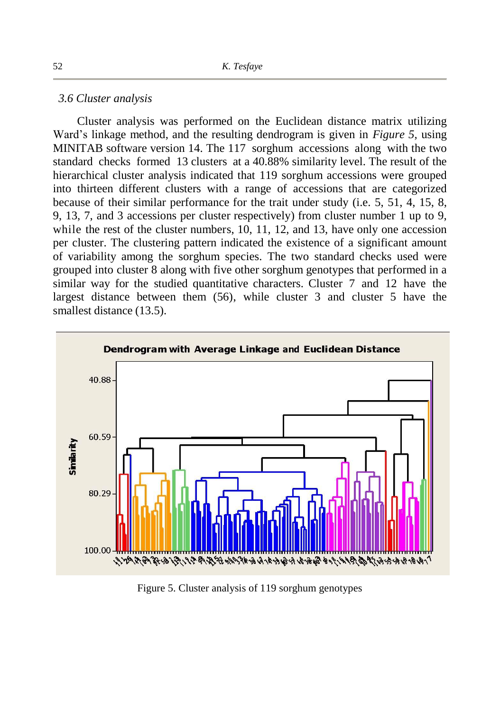#### *3.6 Cluster analysis*

Cluster analysis was performed on the Euclidean distance matrix utilizing Ward's linkage method, and the resulting dendrogram is given in *Figure 5*, using MINITAB software version 14. The 117 sorghum accessions along with the two standard checks formed 13 clusters at a 40.88% similarity level. The result of the hierarchical cluster analysis indicated that 119 sorghum accessions were grouped into thirteen different clusters with a range of accessions that are categorized because of their similar performance for the trait under study (i.e. 5, 51, 4, 15, 8, 9, 13, 7, and 3 accessions per cluster respectively) from cluster number 1 up to 9, while the rest of the cluster numbers, 10, 11, 12, and 13, have only one accession per cluster. The clustering pattern indicated the existence of a significant amount of variability among the sorghum species. The two standard checks used were grouped into cluster 8 along with five other sorghum genotypes that performed in a similar way for the studied quantitative characters. Cluster 7 and 12 have the largest distance between them (56), while cluster 3 and cluster 5 have the smallest distance (13.5).



Figure 5. Cluster analysis of 119 sorghum genotypes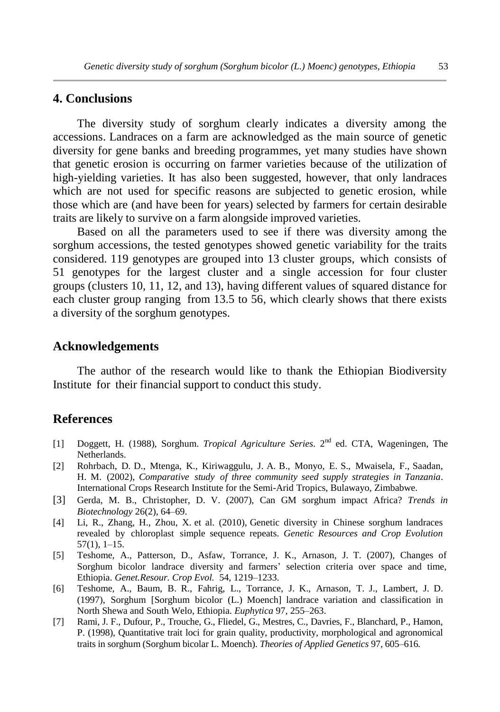## **4. Conclusions**

The diversity study of sorghum clearly indicates a diversity among the accessions. Landraces on a farm are acknowledged as the main source of genetic diversity for gene banks and breeding programmes, yet many studies have shown that genetic erosion is occurring on farmer varieties because of the utilization of high-yielding varieties. It has also been suggested, however, that only landraces which are not used for specific reasons are subjected to genetic erosion, while those which are (and have been for years) selected by farmers for certain desirable traits are likely to survive on a farm alongside improved varieties.

Based on all the parameters used to see if there was diversity among the sorghum accessions, the tested genotypes showed genetic variability for the traits considered. 119 genotypes are grouped into 13 cluster groups, which consists of 51 genotypes for the largest cluster and a single accession for four cluster groups (clusters 10, 11, 12, and 13), having different values of squared distance for each cluster group ranging from 13.5 to  $\overline{56}$ , which clearly shows that there exists a diversity of the sorghum genotypes.

## **Acknowledgements**

The author of the research would like to thank the Ethiopian Biodiversity Institute for their financial support to conduct this study.

## **References**

- [1] Doggett, H. (1988), Sorghum. *Tropical Agriculture Series*. 2nd ed. CTA, Wageningen, The Netherlands.
- [2] Rohrbach, D. D., Mtenga, K., Kiriwaggulu, J. A. B., Monyo, E. S., Mwaisela, F., Saadan, H. M. (2002), *Comparative study of three community seed supply strategies in Tanzania*. International Crops Research Institute for the Semi-Arid Tropics, Bulawayo, Zimbabwe.
- [3] Gerda, M. B., Christopher, D. V. (2007), Can GM sorghum impact Africa? *Trends in Biotechnology* 26(2), 64–69.
- [4] Li, R., Zhang, H., Zhou, X. et al. (2010), Genetic diversity in Chinese sorghum landraces revealed by chloroplast simple sequence repeats. *Genetic Resources and Crop Evolution* 57(1), 1–15.
- [5] Teshome, A., Patterson, D., Asfaw, Torrance, J. K., Arnason, J. T. (2007), Changes of Sorghum bicolor landrace diversity and farmers' selection criteria over space and time, Ethiopia. *Genet.Resour. Crop Evol.* 54, 1219–1233.
- [6] Teshome, A., Baum, B. R., Fahrig, L., Torrance, J. K., Arnason, T. J., Lambert, J. D. (1997), Sorghum [Sorghum bicolor (L.) Moench] landrace variation and classification in North Shewa and South Welo, Ethiopia. *Euphytica* 97, 255–263.
- [7] Rami, J. F., Dufour, P., Trouche, G., Fliedel, G., Mestres, C., Davries, F., Blanchard, P., Hamon, P. (1998), Quantitative trait loci for grain quality, productivity, morphological and agronomical traits in sorghum (Sorghum bicolar L. Moench). *Theories of Applied Genetics* 97, 605–616.